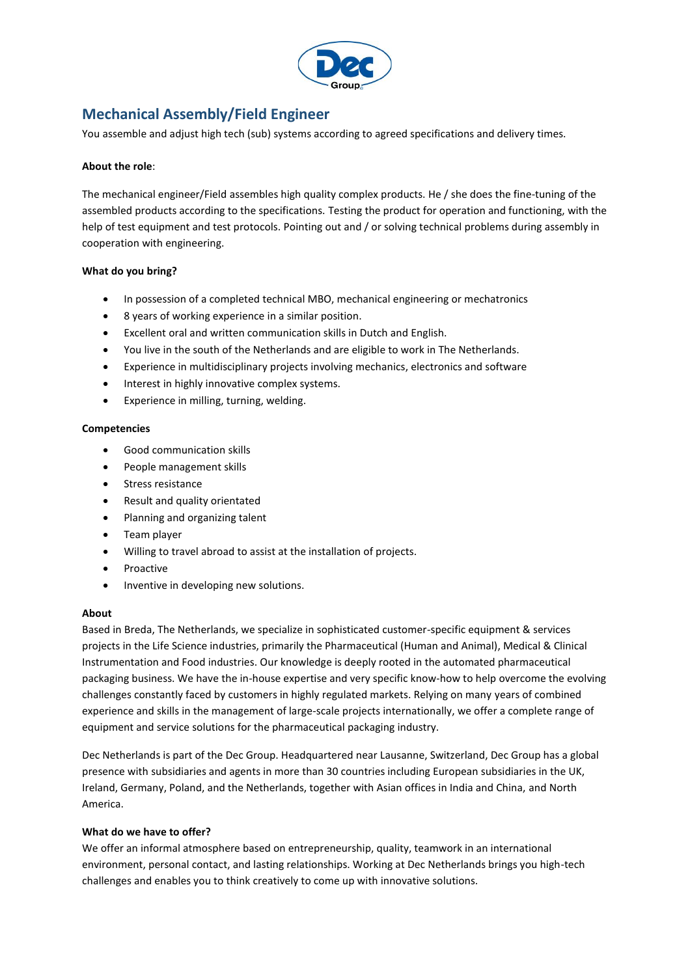

# **Mechanical Assembly/Field Engineer**

You assemble and adjust high tech (sub) systems according to agreed specifications and delivery times.

## **About the role**:

The mechanical engineer/Field assembles high quality complex products. He / she does the fine-tuning of the assembled products according to the specifications. Testing the product for operation and functioning, with the help of test equipment and test protocols. Pointing out and / or solving technical problems during assembly in cooperation with engineering.

# **What do you bring?**

- In possession of a completed technical MBO, mechanical engineering or mechatronics
- 8 years of working experience in a similar position.
- Excellent oral and written communication skills in Dutch and English.
- You live in the south of the Netherlands and are eligible to work in The Netherlands.
- Experience in multidisciplinary projects involving mechanics, electronics and software
- Interest in highly innovative complex systems.
- Experience in milling, turning, welding.

#### **Competencies**

- Good communication skills
- People management skills
- Stress resistance
- Result and quality orientated
- Planning and organizing talent
- Team player
- Willing to travel abroad to assist at the installation of projects.
- Proactive
- Inventive in developing new solutions.

### **About**

Based in Breda, The Netherlands, we specialize in sophisticated customer-specific equipment & services projects in the Life Science industries, primarily the Pharmaceutical (Human and Animal), Medical & Clinical Instrumentation and Food industries. Our knowledge is deeply rooted in the automated pharmaceutical packaging business. We have the in-house expertise and very specific know-how to help overcome the evolving challenges constantly faced by customers in highly regulated markets. Relying on many years of combined experience and skills in the management of large-scale projects internationally, we offer a complete range of equipment and service solutions for the pharmaceutical packaging industry.

Dec Netherlands is part of the Dec Group. Headquartered near Lausanne, Switzerland, Dec Group has a global presence with subsidiaries and agents in more than 30 countries including European subsidiaries in the UK, Ireland, Germany, Poland, and the Netherlands, together with Asian offices in India and China, and North America.

## **What do we have to offer?**

We offer an informal atmosphere based on entrepreneurship, quality, teamwork in an international environment, personal contact, and lasting relationships. Working at Dec Netherlands brings you high-tech challenges and enables you to think creatively to come up with innovative solutions.